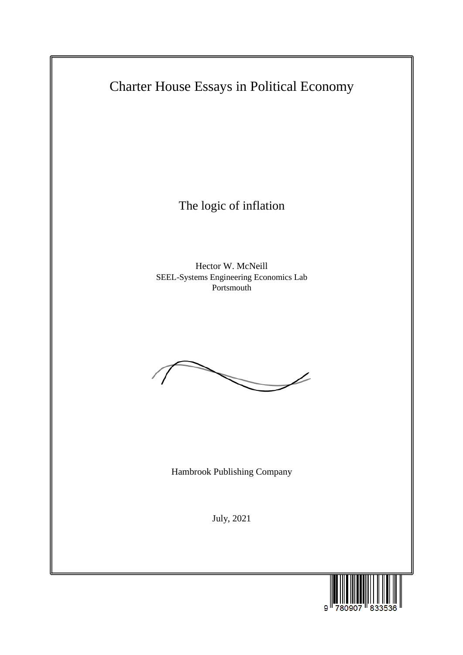Charter House Essays in Political Economy

The logic of inflation

Hector W. McNeill SEEL-Systems Engineering Economics Lab Portsmouth



Hambrook Publishing Company

July, 2021

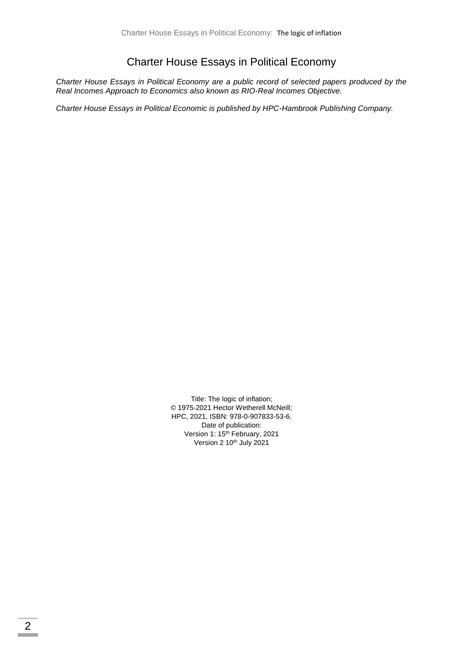### Charter House Essays in Political Economy

*Charter House Essays in Political Economy are a public record of selected papers produced by the Real Incomes Approach to Economics also known as RIO-Real Incomes Objective.*

*Charter House Essays in Political Economic is published by HPC-Hambrook Publishing Company.*

Title: The logic of inflation; © 1975-2021 Hector Wetherell McNeill; HPC, 2021, ISBN: 978-0-907833-53-6. Date of publication: Version 1: 15<sup>th</sup> February, 2021 Version  $2 10<sup>th</sup>$  July 2021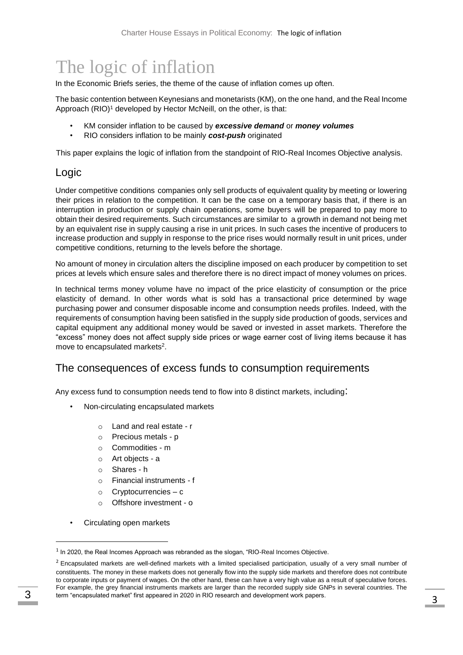# The logic of inflation

In the Economic Briefs series, the theme of the cause of inflation comes up often.

The basic contention between Keynesians and monetarists (KM), on the one hand, and the Real Income Approach (RIO)<sup>1</sup> developed by Hector McNeill, on the other, is that:

- KM consider inflation to be caused by *excessive demand* or *money volumes*
- RIO considers inflation to be mainly *cost-push* originated

This paper explains the logic of inflation from the standpoint of RIO-Real Incomes Objective analysis.

#### Logic

Under competitive conditions companies only sell products of equivalent quality by meeting or lowering their prices in relation to the competition. It can be the case on a temporary basis that, if there is an interruption in production or supply chain operations, some buyers will be prepared to pay more to obtain their desired requirements. Such circumstances are similar to a growth in demand not being met by an equivalent rise in supply causing a rise in unit prices. In such cases the incentive of producers to increase production and supply in response to the price rises would normally result in unit prices, under competitive conditions, returning to the levels before the shortage.

No amount of money in circulation alters the discipline imposed on each producer by competition to set prices at levels which ensure sales and therefore there is no direct impact of money volumes on prices.

In technical terms money volume have no impact of the price elasticity of consumption or the price elasticity of demand. In other words what is sold has a transactional price determined by wage purchasing power and consumer disposable income and consumption needs profiles. Indeed, with the requirements of consumption having been satisfied in the supply side production of goods, services and capital equipment any additional money would be saved or invested in asset markets. Therefore the "excess" money does not affect supply side prices or wage earner cost of living items because it has move to encapsulated markets<sup>2</sup>.

#### The consequences of excess funds to consumption requirements

Any excess fund to consumption needs tend to flow into 8 distinct markets, including:

- Non-circulating encapsulated markets
	- o Land and real estate r
	- o Precious metals p
	- o Commodities m
	- o Art objects a
	- o Shares h
	- o Financial instruments f
	- o Cryptocurrencies c
	- o Offshore investment o
- Circulating open markets

-

<sup>&</sup>lt;sup>1</sup> In 2020, the Real Incomes Approach was rebranded as the slogan, "RIO-Real Incomes Objective.

 $<sup>2</sup>$  Encapsulated markets are well-defined markets with a limited specialised participation, usually of a very small number of</sup> constituents. The money in these markets does not generally flow into the supply side markets and therefore does not contribute to corporate inputs or payment of wages. On the other hand, these can have a very high value as a result of speculative forces. For example, the grey financial instruments markets are larger than the recorded supply side GNPs in several countries. The term "encapsulated market" first appeared in 2020 in RIO research and development work papers. 3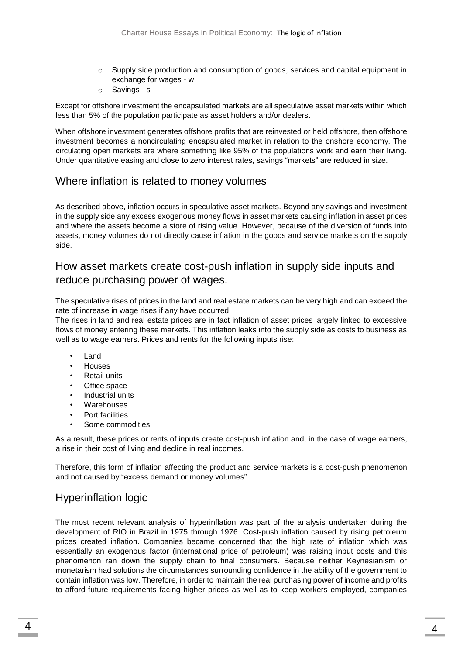- $\circ$  Supply side production and consumption of goods, services and capital equipment in exchange for wages - w
- o Savings s

Except for offshore investment the encapsulated markets are all speculative asset markets within which less than 5% of the population participate as asset holders and/or dealers.

When offshore investment generates offshore profits that are reinvested or held offshore, then offshore investment becomes a noncirculating encapsulated market in relation to the onshore economy. The circulating open markets are where something like 95% of the populations work and earn their living. Under quantitative easing and close to zero interest rates, savings "markets" are reduced in size.

# Where inflation is related to money volumes

As described above, inflation occurs in speculative asset markets. Beyond any savings and investment in the supply side any excess exogenous money flows in asset markets causing inflation in asset prices and where the assets become a store of rising value. However, because of the diversion of funds into assets, money volumes do not directly cause inflation in the goods and service markets on the supply side.

## How asset markets create cost-push inflation in supply side inputs and reduce purchasing power of wages.

The speculative rises of prices in the land and real estate markets can be very high and can exceed the rate of increase in wage rises if any have occurred.

The rises in land and real estate prices are in fact inflation of asset prices largely linked to excessive flows of money entering these markets. This inflation leaks into the supply side as costs to business as well as to wage earners. Prices and rents for the following inputs rise:

- Land
- Houses
- **Retail units**
- Office space
- Industrial units
- **Warehouses**
- Port facilities
- Some commodities

As a result, these prices or rents of inputs create cost-push inflation and, in the case of wage earners, a rise in their cost of living and decline in real incomes.

Therefore, this form of inflation affecting the product and service markets is a cost-push phenomenon and not caused by "excess demand or money volumes".

# Hyperinflation logic

The most recent relevant analysis of hyperinflation was part of the analysis undertaken during the development of RIO in Brazil in 1975 through 1976. Cost-push inflation caused by rising petroleum prices created inflation. Companies became concerned that the high rate of inflation which was essentially an exogenous factor (international price of petroleum) was raising input costs and this phenomenon ran down the supply chain to final consumers. Because neither Keynesianism or monetarism had solutions the circumstances surrounding confidence in the ability of the government to contain inflation was low. Therefore, in order to maintain the real purchasing power of income and profits to afford future requirements facing higher prices as well as to keep workers employed, companies